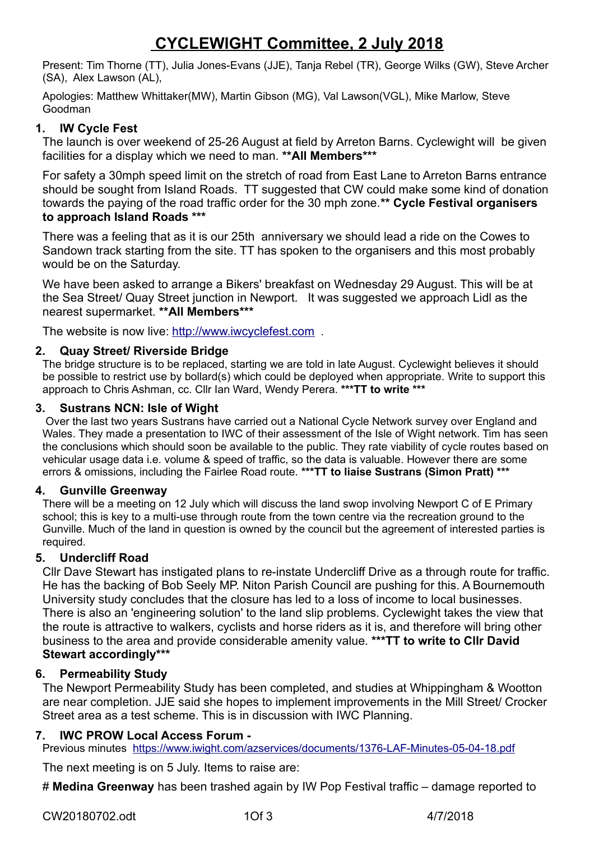# **CYCLEWIGHT Committee, 2 July 2018**

Present: Tim Thorne (TT), Julia Jones-Evans (JJE), Tanja Rebel (TR), George Wilks (GW), Steve Archer (SA), Alex Lawson (AL),

Apologies: Matthew Whittaker(MW), Martin Gibson (MG), Val Lawson(VGL), Mike Marlow, Steve Goodman

### **1. IW Cycle Fest**

The launch is over weekend of 25-26 August at field by Arreton Barns. Cyclewight will be given facilities for a display which we need to man. **\*\*All Members\*\*\***

For safety a 30mph speed limit on the stretch of road from East Lane to Arreton Barns entrance should be sought from Island Roads. TT suggested that CW could make some kind of donation towards the paying of the road traffic order for the 30 mph zone.**\*\* Cycle Festival organisers to approach Island Roads \*\*\***

There was a feeling that as it is our 25th anniversary we should lead a ride on the Cowes to Sandown track starting from the site. TT has spoken to the organisers and this most probably would be on the Saturday.

We have been asked to arrange a Bikers' breakfast on Wednesday 29 August. This will be at the Sea Street/ Quay Street junction in Newport. It was suggested we approach Lidl as the nearest supermarket. **\*\*All Members\*\*\***

The website is now live: [http://www.iwcyclefest.com](http://www.iwcyclefest.com/).

### **2. Quay Street/ Riverside Bridge**

The bridge structure is to be replaced, starting we are told in late August. Cyclewight believes it should be possible to restrict use by bollard(s) which could be deployed when appropriate. Write to support this approach to Chris Ashman, cc. Cllr Ian Ward, Wendy Perera. **\*\*\*TT to write \*\*\***

### **3. Sustrans NCN: Isle of Wight**

Over the last two years Sustrans have carried out a National Cycle Network survey over England and Wales. They made a presentation to IWC of their assessment of the Isle of Wight network. Tim has seen the conclusions which should soon be available to the public. They rate viability of cycle routes based on vehicular usage data i.e. volume & speed of traffic, so the data is valuable. However there are some errors & omissions, including the Fairlee Road route. **\*\*\*TT to liaise Sustrans (Simon Pratt) \*\*\***

### **4. Gunville Greenway**

There will be a meeting on 12 July which will discuss the land swop involving Newport C of E Primary school; this is key to a multi-use through route from the town centre via the recreation ground to the Gunville. Much of the land in question is owned by the council but the agreement of interested parties is required.

#### **5. Undercliff Road**

Cllr Dave Stewart has instigated plans to re-instate Undercliff Drive as a through route for traffic. He has the backing of Bob Seely MP. Niton Parish Council are pushing for this. A Bournemouth University study concludes that the closure has led to a loss of income to local businesses. There is also an 'engineering solution' to the land slip problems. Cyclewight takes the view that the route is attractive to walkers, cyclists and horse riders as it is, and therefore will bring other business to the area and provide considerable amenity value. **\*\*\*TT to write to Cllr David Stewart accordingly\*\*\***

### **6. Permeability Study**

The Newport Permeability Study has been completed, and studies at Whippingham & Wootton are near completion. JJE said she hopes to implement improvements in the Mill Street/ Crocker Street area as a test scheme. This is in discussion with IWC Planning.

### **7. IWC PROW Local Access Forum -**

Previous minutes <https://www.iwight.com/azservices/documents/1376-LAF-Minutes-05-04-18.pdf>

The next meeting is on 5 July. Items to raise are:

# **Medina Greenway** has been trashed again by IW Pop Festival traffic – damage reported to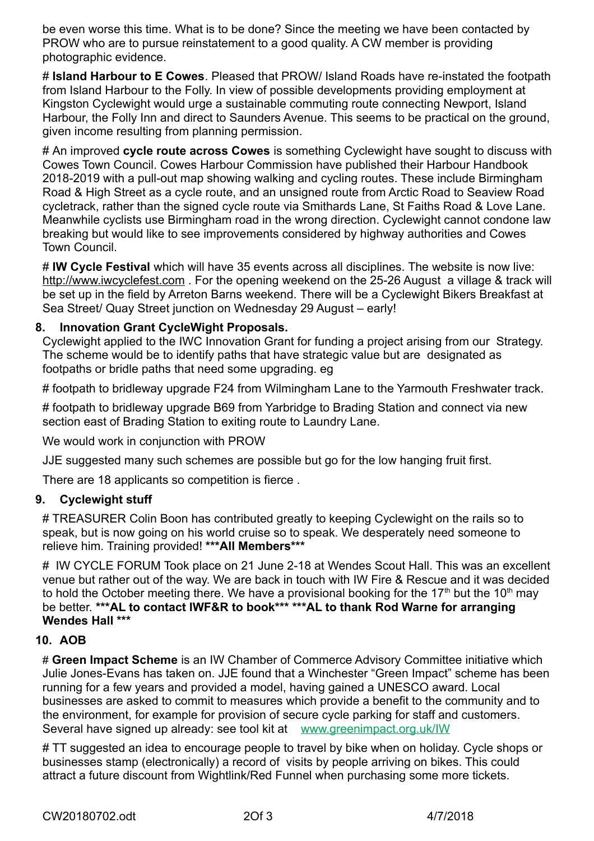be even worse this time. What is to be done? Since the meeting we have been contacted by PROW who are to pursue reinstatement to a good quality. A CW member is providing photographic evidence.

# **Island Harbour to E Cowes**. Pleased that PROW/ Island Roads have re-instated the footpath from Island Harbour to the Folly. In view of possible developments providing employment at Kingston Cyclewight would urge a sustainable commuting route connecting Newport, Island Harbour, the Folly Inn and direct to Saunders Avenue. This seems to be practical on the ground, given income resulting from planning permission.

# An improved **cycle route across Cowes** is something Cyclewight have sought to discuss with Cowes Town Council. Cowes Harbour Commission have published their Harbour Handbook 2018-2019 with a pull-out map showing walking and cycling routes. These include Birmingham Road & High Street as a cycle route, and an unsigned route from Arctic Road to Seaview Road cycletrack, rather than the signed cycle route via Smithards Lane, St Faiths Road & Love Lane. Meanwhile cyclists use Birmingham road in the wrong direction. Cyclewight cannot condone law breaking but would like to see improvements considered by highway authorities and Cowes Town Council.

# **IW Cycle Festival** which will have 35 events across all disciplines. The website is now live: http://www.iwcyclefest.com. For the opening weekend on the 25-26 August a village & track will be set up in the field by Arreton Barns weekend. There will be a Cyclewight Bikers Breakfast at Sea Street/ Quay Street junction on Wednesday 29 August – early!

## **8. Innovation Grant CycleWight Proposals.**

Cyclewight applied to the IWC Innovation Grant for funding a project arising from our Strategy. The scheme would be to identify paths that have strategic value but are designated as footpaths or bridle paths that need some upgrading. eg

# footpath to bridleway upgrade F24 from Wilmingham Lane to the Yarmouth Freshwater track.

# footpath to bridleway upgrade B69 from Yarbridge to Brading Station and connect via new section east of Brading Station to exiting route to Laundry Lane.

We would work in conjunction with PROW

JJE suggested many such schemes are possible but go for the low hanging fruit first.

There are 18 applicants so competition is fierce .

### **9. Cyclewight stuff**

# TREASURER Colin Boon has contributed greatly to keeping Cyclewight on the rails so to speak, but is now going on his world cruise so to speak. We desperately need someone to relieve him. Training provided! **\*\*\*All Members\*\*\***

# IW CYCLE FORUM Took place on 21 June 2-18 at Wendes Scout Hall. This was an excellent venue but rather out of the way. We are back in touch with IW Fire & Rescue and it was decided to hold the October meeting there. We have a provisional booking for the 17<sup>th</sup> but the 10<sup>th</sup> may be better. **\*\*\*AL to contact IWF&R to book\*\*\* \*\*\*AL to thank Rod Warne for arranging Wendes Hall \*\*\*** 

### **10. AOB**

# **Green Impact Scheme** is an IW Chamber of Commerce Advisory Committee initiative which Julie Jones-Evans has taken on. JJE found that a Winchester "Green Impact" scheme has been running for a few years and provided a model, having gained a UNESCO award. Local businesses are asked to commit to measures which provide a benefit to the community and to the environment, for example for provision of secure cycle parking for staff and customers. Several have signed up already: see tool kit at [www.greenimpact.org.uk/IW](http://www.greenimpacr.org.uk/IW)

# TT suggested an idea to encourage people to travel by bike when on holiday. Cycle shops or businesses stamp (electronically) a record of visits by people arriving on bikes. This could attract a future discount from Wightlink/Red Funnel when purchasing some more tickets.